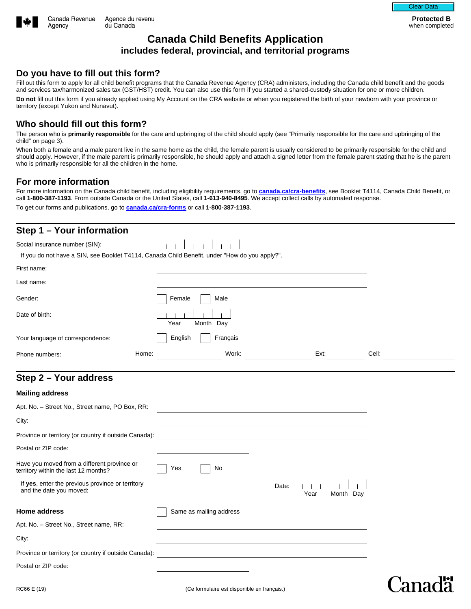

Agency

**Protected B**  when completed

## **Canada Child Benefits Application includes federal, provincial, and territorial programs**

### **Do you have to fill out this form?**

Fill out this form to apply for all child benefit programs that the Canada Revenue Agency (CRA) administers, including the Canada child benefit and the goods and services tax/harmonized sales tax (GST/HST) credit. You can also use this form if you started a shared-custody situation for one or more children. **Do not** fill out this form if you already applied using My Account on the CRA website or when you registered the birth of your newborn with your province or territory (except Yukon and Nunavut).

## **Who should fill out this form?**

The person who is **primarily responsible** for the care and upbringing of the child should apply (see "Primarily responsible for the care and upbringing of the child" on page 3).

When both a female and a male parent live in the same home as the child, the female parent is usually considered to be primarily responsible for the child and should apply. However, if the male parent is primarily responsible, he should apply and attach a signed letter from the female parent stating that he is the parent who is primarily responsible for all the children in the home.

## **For more information**

For more information on the Canada child benefit, including eligibility requirements, go to **[canada.ca/cra-benefits](https://www.canada.ca/en/revenue-agency/services/child-family-benefits.html)**, see Booklet T4114, Canada Child Benefit, or call **1-800-387-1193**. From outside Canada or the United States, call **1-613-940-8495**. We accept collect calls by automated response. To get our forms and publications, go to **[canada.ca/cra-forms](https://www.canada.ca/en/revenue-agency/services/forms-publications.html)** or call **1-800-387-1193**.

| Step 1 - Your information                                                           |                                                                                               |                          |
|-------------------------------------------------------------------------------------|-----------------------------------------------------------------------------------------------|--------------------------|
| Social insurance number (SIN):                                                      |                                                                                               |                          |
|                                                                                     | If you do not have a SIN, see Booklet T4114, Canada Child Benefit, under "How do you apply?". |                          |
| First name:                                                                         |                                                                                               |                          |
| Last name:                                                                          |                                                                                               |                          |
| Gender:                                                                             | Female<br>Male                                                                                |                          |
| Date of birth:                                                                      | Year<br>Month Day                                                                             |                          |
| Your language of correspondence:                                                    | English<br>Français                                                                           |                          |
| Home:<br>Phone numbers:                                                             | Work:<br>Ext:                                                                                 | Cell:                    |
| Step 2 - Your address                                                               |                                                                                               |                          |
| <b>Mailing address</b>                                                              |                                                                                               |                          |
| Apt. No. - Street No., Street name, PO Box, RR:                                     |                                                                                               |                          |
| City:                                                                               |                                                                                               |                          |
| Province or territory (or country if outside Canada):                               |                                                                                               | $\overline{\phantom{a}}$ |
| Postal or ZIP code:                                                                 |                                                                                               |                          |
| Have you moved from a different province or<br>territory within the last 12 months? | No<br>Yes                                                                                     |                          |
| If yes, enter the previous province or territory<br>and the date you moved:         | Date:<br>$\blacktriangledown$<br>Year<br>Month Day                                            |                          |
| <b>Home address</b>                                                                 | Same as mailing address                                                                       |                          |
| Apt. No. - Street No., Street name, RR:                                             |                                                                                               |                          |
| City:                                                                               |                                                                                               |                          |
| Province or territory (or country if outside Canada):                               |                                                                                               | $\blacktriangleright$    |
| Postal or ZIP code:                                                                 |                                                                                               |                          |
| RC66 E (19)                                                                         | (Ce formulaire est disponible en francais.)                                                   |                          |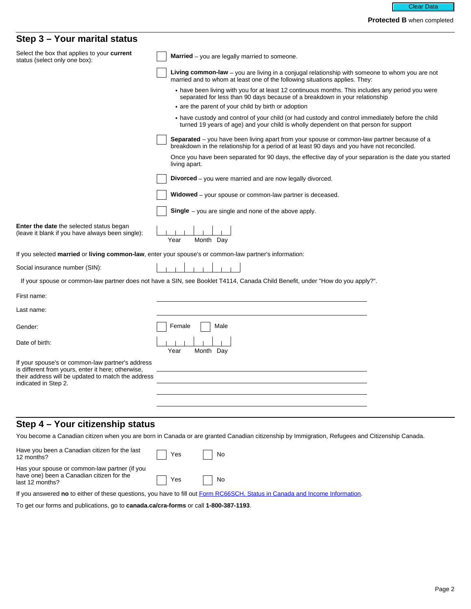### **Step 3 – Your marital status**

| un isur v                                                                                                                                                                            |                                                                                                                                                                                                  |
|--------------------------------------------------------------------------------------------------------------------------------------------------------------------------------------|--------------------------------------------------------------------------------------------------------------------------------------------------------------------------------------------------|
| Select the box that applies to your current<br>status (select only one box):                                                                                                         | <b>Married</b> – you are legally married to someone.                                                                                                                                             |
|                                                                                                                                                                                      | Living common-law - you are living in a conjugal relationship with someone to whom you are not<br>married and to whom at least one of the following situations applies. They:                    |
|                                                                                                                                                                                      | • have been living with you for at least 12 continuous months. This includes any period you were<br>separated for less than 90 days because of a breakdown in your relationship                  |
|                                                                                                                                                                                      | • are the parent of your child by birth or adoption                                                                                                                                              |
|                                                                                                                                                                                      | • have custody and control of your child (or had custody and control immediately before the child<br>turned 19 years of age) and your child is wholly dependent on that person for support       |
|                                                                                                                                                                                      | <b>Separated</b> – you have been living apart from your spouse or common-law partner because of a<br>breakdown in the relationship for a period of at least 90 days and you have not reconciled. |
|                                                                                                                                                                                      | Once you have been separated for 90 days, the effective day of your separation is the date you started<br>living apart.                                                                          |
|                                                                                                                                                                                      | <b>Divorced</b> – you were married and are now legally divorced.                                                                                                                                 |
|                                                                                                                                                                                      | <b>Widowed</b> – your spouse or common-law partner is deceased.                                                                                                                                  |
|                                                                                                                                                                                      | <b>Single</b> $-$ you are single and none of the above apply.                                                                                                                                    |
| <b>Enter the date</b> the selected status began<br>(leave it blank if you have always been single):                                                                                  | Year<br>Month Day                                                                                                                                                                                |
|                                                                                                                                                                                      | If you selected married or living common-law, enter your spouse's or common-law partner's information:                                                                                           |
| Social insurance number (SIN):                                                                                                                                                       |                                                                                                                                                                                                  |
|                                                                                                                                                                                      | If your spouse or common-law partner does not have a SIN, see Booklet T4114, Canada Child Benefit, under "How do you apply?".                                                                    |
| First name:                                                                                                                                                                          |                                                                                                                                                                                                  |
| Last name:                                                                                                                                                                           |                                                                                                                                                                                                  |
| Gender:                                                                                                                                                                              | Female<br>Male                                                                                                                                                                                   |
| Date of birth:                                                                                                                                                                       | Month Day<br>Year                                                                                                                                                                                |
| If your spouse's or common-law partner's address<br>is different from yours, enter it here; otherwise,<br>their address will be updated to match the address<br>indicated in Step 2. |                                                                                                                                                                                                  |
|                                                                                                                                                                                      |                                                                                                                                                                                                  |
| Step 4 - Your citizenship status                                                                                                                                                     |                                                                                                                                                                                                  |
|                                                                                                                                                                                      | You become a Canadian citizen when you are born in Canada or are granted Canadian citizenship by Immigration, Refugees and Citizenship Canada.                                                   |
| Have you been a Canadian citizen for the last<br>12 months?                                                                                                                          | No<br>Yes                                                                                                                                                                                        |
| Has your spouse or common-law partner (if you<br>have one) been a Canadian citizen for the<br>last 12 months?                                                                        | No<br>Yes                                                                                                                                                                                        |

If you answered **no** to either of these questions, you have to fill out [Form RC66SCH, Status in Canada and Income Information](https://www.canada.ca/en/revenue-agency/services/forms-publications/forms/rc66sch.html).

To get our forms and publications, go to **canada.ca/cra-forms** or call **1-800-387-1193**.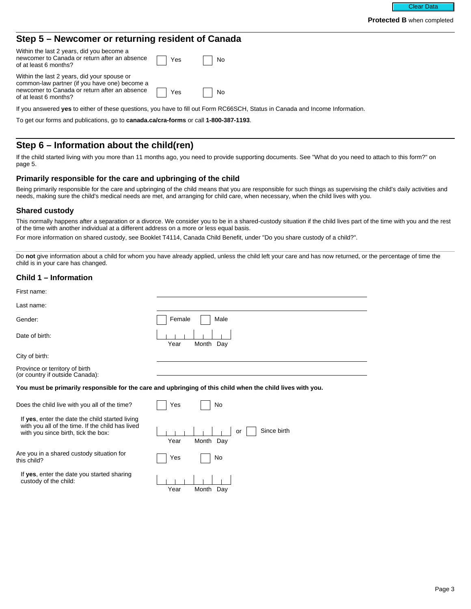#### **Step 5 – Newcomer or returning resident of Canada**

| Within the last 2 years, did you become a<br>newcomer to Canada or return after an absence <u>and</u> Yes<br>of at least 6 months?                                            | No           |
|-------------------------------------------------------------------------------------------------------------------------------------------------------------------------------|--------------|
| Within the last 2 years, did your spouse or<br>common-law partner (if you have one) become a<br>newcomer to Canada or return after an absence Taylor<br>of at least 6 months? | $\vert$   No |

If you answered **yes** to either of these questions, you have to fill out Form RC66SCH, Status in Canada and Income Information.

To get our forms and publications, go to **canada.ca/cra-forms** or call **1-800-387-1193**.

## **Step 6 – Information about the child(ren)**

If the child started living with you more than 11 months ago, you need to provide supporting documents. See "What do you need to attach to this form?" on page 5.

#### **Primarily responsible for the care and upbringing of the child**

Being primarily responsible for the care and upbringing of the child means that you are responsible for such things as supervising the child's daily activities and needs, making sure the child's medical needs are met, and arranging for child care, when necessary, when the child lives with you.

#### **Shared custody**

This normally happens after a separation or a divorce. We consider you to be in a shared-custody situation if the child lives part of the time with you and the rest of the time with another individual at a different address on a more or less equal basis.

For more information on shared custody, see Booklet T4114, Canada Child Benefit, under "Do you share custody of a child?".

Do **not** give information about a child for whom you have already applied, unless the child left your care and has now returned, or the percentage of time the child is in your care has changed.

#### **Child 1 – Information**

| First name:                                                                                                                                |                                        |  |  |  |
|--------------------------------------------------------------------------------------------------------------------------------------------|----------------------------------------|--|--|--|
| Last name:                                                                                                                                 |                                        |  |  |  |
| Gender:                                                                                                                                    | Female<br>Male                         |  |  |  |
| Date of birth:                                                                                                                             | Year<br>Month Day                      |  |  |  |
| City of birth:                                                                                                                             |                                        |  |  |  |
| Province or territory of birth<br>(or country if outside Canada):                                                                          |                                        |  |  |  |
| You must be primarily responsible for the care and upbringing of this child when the child lives with you.                                 |                                        |  |  |  |
| Does the child live with you all of the time?                                                                                              | Yes<br>No                              |  |  |  |
| If yes, enter the date the child started living<br>with you all of the time. If the child has lived<br>with you since birth, tick the box: | Since birth<br>or<br>Year<br>Month Day |  |  |  |
| Are you in a shared custody situation for<br>this child?                                                                                   | Yes<br>No                              |  |  |  |
| If yes, enter the date you started sharing<br>custody of the child:                                                                        | Year<br>Month Day                      |  |  |  |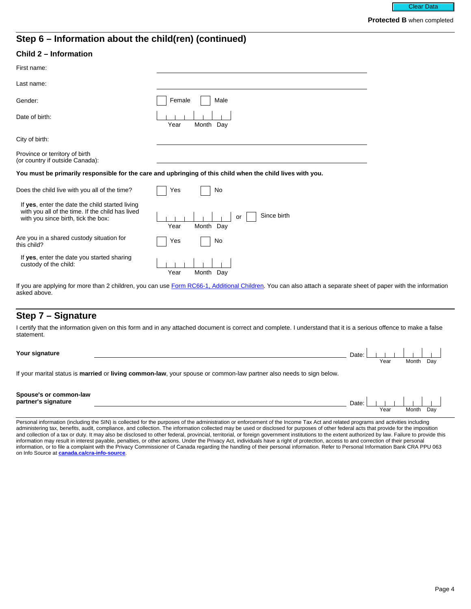## **Step 6 – Information about the child(ren) (continued)**

#### **Child 2 – Information**

| First name:                                                                                                                                |                                                                                                            |
|--------------------------------------------------------------------------------------------------------------------------------------------|------------------------------------------------------------------------------------------------------------|
| Last name:                                                                                                                                 |                                                                                                            |
| Gender:                                                                                                                                    | Female<br>Male                                                                                             |
| Date of birth:                                                                                                                             | Month Day<br>Year                                                                                          |
| City of birth:                                                                                                                             |                                                                                                            |
| Province or territory of birth<br>(or country if outside Canada):                                                                          |                                                                                                            |
|                                                                                                                                            | You must be primarily responsible for the care and upbringing of this child when the child lives with you. |
| Does the child live with you all of the time?                                                                                              | No<br>Yes                                                                                                  |
| If yes, enter the date the child started living<br>with you all of the time. If the child has lived<br>with you since birth, tick the box: | Since birth<br>or<br>Year<br>Month Day                                                                     |
| Are you in a shared custody situation for<br>this child?                                                                                   | Yes<br>No                                                                                                  |
| If yes, enter the date you started sharing<br>custody of the child:                                                                        |                                                                                                            |

Year Month Day

If you are applying for more than 2 children, you can use [Form RC66-1, Additional Children.](https://www.canada.ca/en/revenue-agency/services/forms-publications/forms/rc66-1.html) You can also attach a separate sheet of paper with the information asked above.

## **Step 7 – Signature**

I certify that the information given on this form and in any attached document is correct and complete. I understand that it is a serious offence to make a false statement.

| Your signature                                                                                                           | Date: |      |           |  |
|--------------------------------------------------------------------------------------------------------------------------|-------|------|-----------|--|
|                                                                                                                          |       | Year | Month Day |  |
| If your marital otatuo is <b>married</b> or living common low your apouse or semmen low partner also needs to sign below |       |      |           |  |

If your marital status is **married** or **living common-law**, your spouse or common-law partner also needs to sign below.

| Spouse's or common-law<br>partner's<br>'s signature | Date: |      |       |     |  |
|-----------------------------------------------------|-------|------|-------|-----|--|
|                                                     |       | Year | Month | Dav |  |

Personal information (including the SIN) is collected for the purposes of the administration or enforcement of the Income Tax Act and related programs and activities including administering tax, benefits, audit, compliance, and collection. The information collected may be used or disclosed for purposes of other federal acts that provide for the imposition and collection of a tax or duty. It may also be disclosed to other federal, provincial, territorial, or foreign government institutions to the extent authorized by law. Failure to provide this information may result in interest payable, penalties, or other actions. Under the Privacy Act, individuals have a right of protection, access to and correction of their personal information, or to file a complaint with the Privacy Commissioner of Canada regarding the handling of their personal information. Refer to Personal Information Bank CRA PPU 063 on Info Source at **[canada.ca/cra-info-source](https://www.canada.ca/en/revenue-agency/corporate/about-canada-revenue-agency-cra/access-information-privacy-canada-revenue-agency/info-source-sources-federal-government-employee-information.html)**.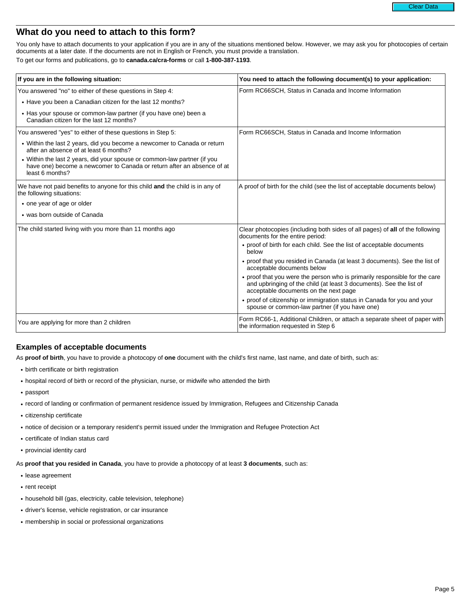# **What do you need to attach to this form?**

You only have to attach documents to your application if you are in any of the situations mentioned below. However, we may ask you for photocopies of certain documents at a later date. If the documents are not in English or French, you must provide a translation. To get our forms and publications, go to **canada.ca/cra-forms** or call **1-800-387-1193**.

| If you are in the following situation:                                                                                                                                | You need to attach the following document(s) to your application:                                                                                                                          |
|-----------------------------------------------------------------------------------------------------------------------------------------------------------------------|--------------------------------------------------------------------------------------------------------------------------------------------------------------------------------------------|
| You answered "no" to either of these questions in Step 4:                                                                                                             | Form RC66SCH, Status in Canada and Income Information                                                                                                                                      |
| • Have you been a Canadian citizen for the last 12 months?                                                                                                            |                                                                                                                                                                                            |
| • Has your spouse or common-law partner (if you have one) been a<br>Canadian citizen for the last 12 months?                                                          |                                                                                                                                                                                            |
| You answered "yes" to either of these questions in Step 5:                                                                                                            | Form RC66SCH, Status in Canada and Income Information                                                                                                                                      |
| • Within the last 2 years, did you become a newcomer to Canada or return<br>after an absence of at least 6 months?                                                    |                                                                                                                                                                                            |
| • Within the last 2 years, did your spouse or common-law partner (if you<br>have one) become a newcomer to Canada or return after an absence of at<br>least 6 months? |                                                                                                                                                                                            |
| We have not paid benefits to anyone for this child and the child is in any of<br>the following situations:                                                            | A proof of birth for the child (see the list of acceptable documents below)                                                                                                                |
| • one year of age or older                                                                                                                                            |                                                                                                                                                                                            |
| • was born outside of Canada                                                                                                                                          |                                                                                                                                                                                            |
| The child started living with you more than 11 months ago                                                                                                             | Clear photocopies (including both sides of all pages) of all of the following<br>documents for the entire period:                                                                          |
|                                                                                                                                                                       | • proof of birth for each child. See the list of acceptable documents<br>below                                                                                                             |
|                                                                                                                                                                       | • proof that you resided in Canada (at least 3 documents). See the list of<br>acceptable documents below                                                                                   |
|                                                                                                                                                                       | • proof that you were the person who is primarily responsible for the care<br>and upbringing of the child (at least 3 documents). See the list of<br>acceptable documents on the next page |
|                                                                                                                                                                       | • proof of citizenship or immigration status in Canada for you and your<br>spouse or common-law partner (if you have one)                                                                  |
| You are applying for more than 2 children                                                                                                                             | Form RC66-1, Additional Children, or attach a separate sheet of paper with<br>the information requested in Step 6                                                                          |

#### **Examples of acceptable documents**

As **proof of birth**, you have to provide a photocopy of **one** document with the child's first name, last name, and date of birth, such as:

- birth certificate or birth registration
- hospital record of birth or record of the physician, nurse, or midwife who attended the birth
- passport
- record of landing or confirmation of permanent residence issued by Immigration, Refugees and Citizenship Canada
- citizenship certificate
- notice of decision or a temporary resident's permit issued under the Immigration and Refugee Protection Act
- certificate of Indian status card
- provincial identity card
- As **proof that you resided in Canada**, you have to provide a photocopy of at least **3 documents**, such as:
- lease agreement
- rent receipt
- household bill (gas, electricity, cable television, telephone)
- driver's license, vehicle registration, or car insurance
- membership in social or professional organizations